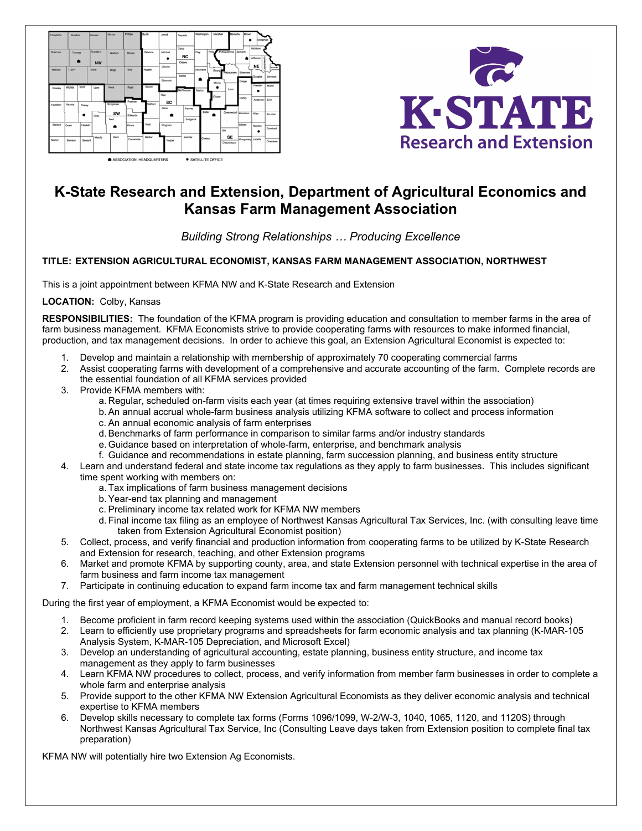



# K-State Research and Extension, Department of Agricultural Economics and Kansas Farm Management Association

## Building Strong Relationships … Producing Excellence

### TITLE: EXTENSION AGRICULTURAL ECONOMIST, KANSAS FARM MANAGEMENT ASSOCIATION, NORTHWEST

This is a joint appointment between KFMA NW and K-State Research and Extension

LOCATION: Colby, Kansas

RESPONSIBILITIES: The foundation of the KFMA program is providing education and consultation to member farms in the area of farm business management. KFMA Economists strive to provide cooperating farms with resources to make informed financial, production, and tax management decisions. In order to achieve this goal, an Extension Agricultural Economist is expected to:

- 1. Develop and maintain a relationship with membership of approximately 70 cooperating commercial farms
- 2. Assist cooperating farms with development of a comprehensive and accurate accounting of the farm. Complete records are the essential foundation of all KFMA services provided
- 3. Provide KFMA members with:
	- a. Regular, scheduled on-farm visits each year (at times requiring extensive travel within the association)
	- b. An annual accrual whole-farm business analysis utilizing KFMA software to collect and process information
	- c. An annual economic analysis of farm enterprises
	- d. Benchmarks of farm performance in comparison to similar farms and/or industry standards
	- e. Guidance based on interpretation of whole-farm, enterprise, and benchmark analysis
	- f. Guidance and recommendations in estate planning, farm succession planning, and business entity structure
- 4. Learn and understand federal and state income tax regulations as they apply to farm businesses. This includes significant time spent working with members on:
	- a. Tax implications of farm business management decisions
	- b. Year-end tax planning and management
	- c. Preliminary income tax related work for KFMA NW members
	- d. Final income tax filing as an employee of Northwest Kansas Agricultural Tax Services, Inc. (with consulting leave time taken from Extension Agricultural Economist position)
- 5. Collect, process, and verify financial and production information from cooperating farms to be utilized by K-State Research and Extension for research, teaching, and other Extension programs
- 6. Market and promote KFMA by supporting county, area, and state Extension personnel with technical expertise in the area of farm business and farm income tax management
- 7. Participate in continuing education to expand farm income tax and farm management technical skills

During the first year of employment, a KFMA Economist would be expected to:

- 1. Become proficient in farm record keeping systems used within the association (QuickBooks and manual record books)
- 2. Learn to efficiently use proprietary programs and spreadsheets for farm economic analysis and tax planning (K-MAR-105 Analysis System, K-MAR-105 Depreciation, and Microsoft Excel)
- 3. Develop an understanding of agricultural accounting, estate planning, business entity structure, and income tax management as they apply to farm businesses
- 4. Learn KFMA NW procedures to collect, process, and verify information from member farm businesses in order to complete a whole farm and enterprise analysis
- 5. Provide support to the other KFMA NW Extension Agricultural Economists as they deliver economic analysis and technical expertise to KFMA members
- 6. Develop skills necessary to complete tax forms (Forms 1096/1099, W-2/W-3, 1040, 1065, 1120, and 1120S) through Northwest Kansas Agricultural Tax Service, Inc (Consulting Leave days taken from Extension position to complete final tax preparation)

KFMA NW will potentially hire two Extension Ag Economists.